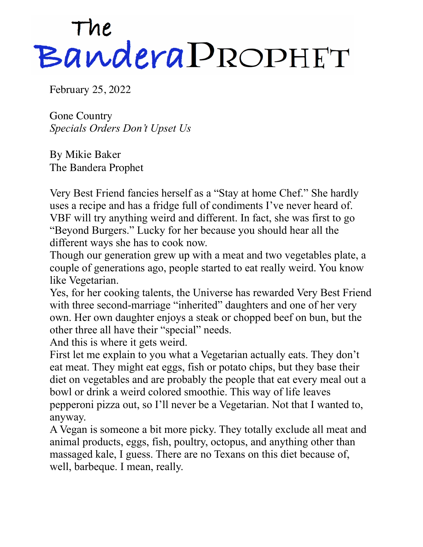## The<br>Bandera PROPHET

February 25, 2022

Gone Country *Specials Orders Don't Upset Us* 

By Mikie Baker The Bandera Prophet

Very Best Friend fancies herself as a "Stay at home Chef." She hardly uses a recipe and has a fridge full of condiments I've never heard of. VBF will try anything weird and different. In fact, she was first to go "Beyond Burgers." Lucky for her because you should hear all the different ways she has to cook now.

Though our generation grew up with a meat and two vegetables plate, a couple of generations ago, people started to eat really weird. You know like Vegetarian.

Yes, for her cooking talents, the Universe has rewarded Very Best Friend with three second-marriage "inherited" daughters and one of her very own. Her own daughter enjoys a steak or chopped beef on bun, but the other three all have their "special" needs.

And this is where it gets weird.

First let me explain to you what a Vegetarian actually eats. They don't eat meat. They might eat eggs, fish or potato chips, but they base their diet on vegetables and are probably the people that eat every meal out a bowl or drink a weird colored smoothie. This way of life leaves pepperoni pizza out, so I'll never be a Vegetarian. Not that I wanted to, anyway.

A Vegan is someone a bit more picky. They totally exclude all meat and animal products, eggs, fish, poultry, octopus, and anything other than massaged kale, I guess. There are no Texans on this diet because of, well, barbeque. I mean, really.